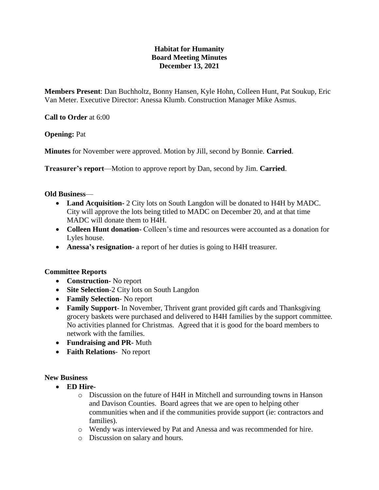# **Habitat for Humanity Board Meeting Minutes December 13, 2021**

**Members Present**: Dan Buchholtz, Bonny Hansen, Kyle Hohn, Colleen Hunt, Pat Soukup, Eric Van Meter. Executive Director: Anessa Klumb. Construction Manager Mike Asmus.

**Call to Order** at 6:00

**Opening:** Pat

**Minutes** for November were approved. Motion by Jill, second by Bonnie. **Carried**.

**Treasurer's report**—Motion to approve report by Dan, second by Jim. **Carried**.

### **Old Business**—

- **Land Acquisition-** 2 City lots on South Langdon will be donated to H4H by MADC. City will approve the lots being titled to MADC on December 20, and at that time MADC will donate them to H4H.
- **Colleen Hunt donation-** Colleen's time and resources were accounted as a donation for Lyles house.
- **Anessa's resignation-** a report of her duties is going to H4H treasurer.

### **Committee Reports**

- **Construction-** No report
- Site Selection-2 City lots on South Langdon
- **Family Selection** No report
- **Family Support** In November, Thrivent grant provided gift cards and Thanksgiving grocery baskets were purchased and delivered to H4H families by the support committee. No activities planned for Christmas. Agreed that it is good for the board members to network with the families.
- **Fundraising and PR-** Muth
- **Faith Relations** No report

### **New Business**

- **ED Hire**
	- o Discussion on the future of H4H in Mitchell and surrounding towns in Hanson and Davison Counties. Board agrees that we are open to helping other communities when and if the communities provide support (ie: contractors and families).
	- o Wendy was interviewed by Pat and Anessa and was recommended for hire.
	- o Discussion on salary and hours.